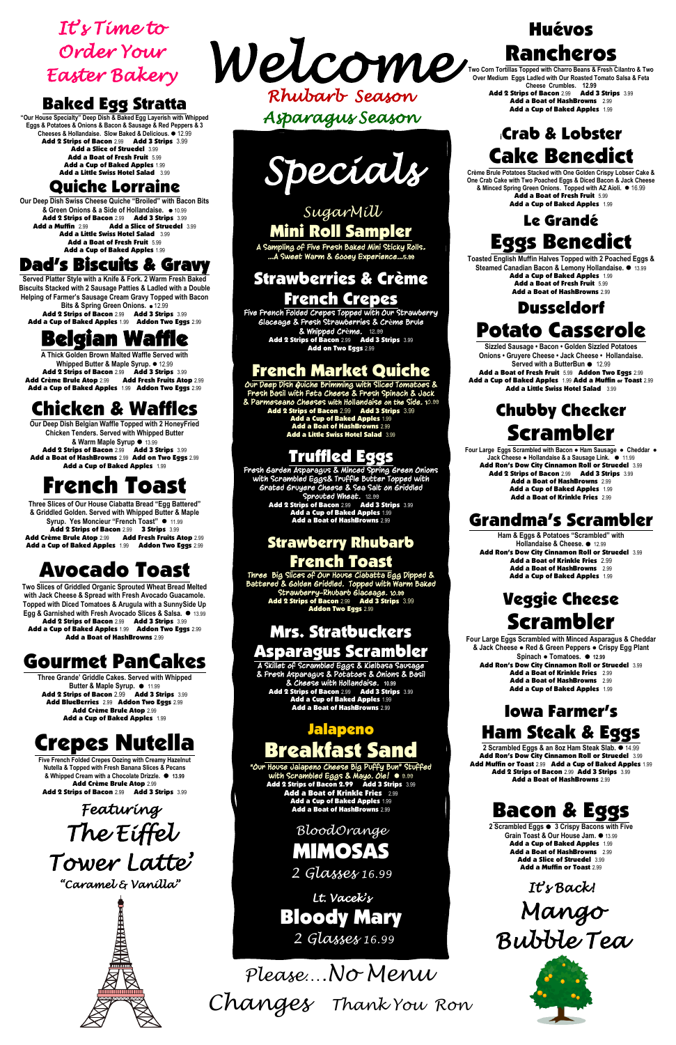*Please….No Menu Changes Thank You Ron*

#### Baked Egg Stratta

**"Our House Specialty" Deep Dish & Baked Egg Layerish with Whipped Eggs & Potatoes & Onions & Bacon & Sausage & Red Peppers & 3 Cheeses & Hollandaise. Slow Baked & Delicious.** ⚫ 12.99 Add 2 Strips of Bacon 2.99 Add 3 Strips 3.99 Add a Slice of Struedel 3.99 Add a Boat of Fresh Fruit 5.99 Add a Cup of Baked Apples 1.99 Add a Little Swiss Hotel Salad 3.99

#### Quiche Lorraine

**Bits & Spring Green Onions.** ⚫ 12.99 Add 2 Strips of Bacon 2.99 Add 3 Strips 3.99 Add a Cup of Baked Apples 1.99 Addon Two Eggs 2.99

**A Thick Golden Brown Malted Waffle Served with Whipped Butter & Maple Syrup.** ⚫ 12.99 Add 2 Strips of Bacon 2.99 Add 3 Strips 3.99 Add Crème Brule Atop 2.99 Add Fresh Fruits Atop 2.99 Add a Cup of Baked Apples 1.99 Addon Two Eggs 2.99

**Our Deep Dish Swiss Cheese Quiche "Broiled" with Bacon Bits & Green Onions & a Side of Hollandaise.** ⚫ 10.99 Add 2 Strips of Bacon 2.99 Add 3 Strips 3.99 Add a Slice of Struedel 3.99 Add a Little Swiss Hotel Salad 3.99 Add a Boat of Fresh Fruit 5.99 Add a Cup of Baked Apples 1.99

**Our Deep Dish Belgian Waffle Topped with 2 HoneyFried Chicken Tenders. Served with Whipped Butter & Warm Maple Syrup** ⚫ 13.99 Add 2 Strips of Bacon 2.99 Add 3 Strips 3.99 Add a Boat of HashBrowns 2.99 Add on Two Eggs 2.99 Add a Cup of Baked Apples 1.99

#### Dad's Biscuits & Gravy

**Three Slices of Our House Ciabatta Bread "Egg Battered" & Griddled Golden. Served with Whipped Butter & Maple Syrup. Yes Moncieur "French Toast"** ⚫ 11.99 Add 2 Strips of Bacon 2.99 3 Strips 3.99 Add Crème Brule Atop 2.99 Add Fresh Fruits Atop 2.99 Add a Cup of Baked Apples 1.99 Addon Two Eggs 2.99

**Served Platter Style with a Knife & Fork. 2 Warm Fresh Baked Biscuits Stacked with 2 Sausage Patties & Ladled with a Double Helping of Farmer's Sausage Cream Gravy Topped with Bacon** 

# Belgian Waffle

**Three Grande' Griddle Cakes. Served with Whipped Butter & Maple Syrup.** ⚫11.99 Add 2 Strips of Bacon 2.99 Add 3 Strips 3.99 Add BlueBerries 2.99 Addon Two Eggs 2.99 Add Crème Brule Atop 2.99 Add a Cup of Baked Apples 1.99

**Five French Folded Crepes Oozing with Creamy Hazelnut & Topped with Fresh Banana Slices** 

**& Whipped Cream with a Chocolate Drizzle.** ⚫ **13.99** Add Crème Brule Atop 2.99 Add 2 Strips of Bacon 2.99 Add 3 Strips 3.99

# Chicken & Waffles

**Crème Brule Potatoes Stacked with One Golden Crispy Lobser Cake & One Crab Cake with Two Poached Eggs & Diced Bacon & Jack Cheese & Minced Spring Green Onions. Topped with AZ Aioli.** ⚫ 16.99 Add a Boat of Fresh Fruit 5.99 Add a Cup of Baked Apples 1.99

# French Toast

# Avocado Toast

**Two Slices of Griddled Organic Sprouted Wheat Bread Melted with Jack Cheese & Spread with Fresh Avocado Guacamole. Topped with Diced Tomatoes & Arugula with a SunnySide Up Egg & Garnished with Fresh Avocado Slices & Salsa.** ⚫ 13.99 Add 2 Strips of Bacon 2.99 Add 3 Strips 3.99 Add a Cup of Baked Apples 1.99 Addon Two Eggs 2.99 Add a Boat of HashBrowns 2.99

**Ham & Eggs & Potatoes "Scrambled" with Hollandaise & Cheese.** ⚫12.99 Add Ron's Dow City Cinnamon Roll or Struedel 3.99 Add a Boat of Krinkle Fries 2.99 Add a Boat of HashBrowns 2.99 Add a Cup of Baked Apples 1.99

# Gourmet PanCakes

- Add a Boat of Krinkle Fries 2.99
- Add a Boat of HashBrowns 2.99 Add a Cup of Baked Apples 1.99

# Crepes Nutella

## Huévos Rancheros

**Two Corn Tortillas Topped with Charro Beans & Fresh Cilantro & Two Over Medium Eggs Ladled with Our Roasted Tomato Salsa & Feta Cheese Crumbles. 12.99**

> Add 2 Strips of Bacon 2.99 Add 3 Strips 3.99 Add a Boat of HashBrowns 2.99 Add a Cup of Baked Apples 1.99

## **<sup>i</sup>**Crab & Lobster Cake Benedict

#### Le Grandé Eggs Benedict

 $\frac{35}{5}$   $\frac{3}{5}$  Add a Boat of Krinkle Fries 2.99 **Add a Cup of Baked Apples 1.99** with Scrambled Eggs & Mayo. Ole! ⚫ 9.99 Add 2 Strips of Bacon 2.99 Add 3 Strips 3.99 Add a Boat of HashBrowns 2.99

**Toasted English Muffin Halves Topped with 2 Poached Eggs & Steamed Canadian Bacon & Lemony Hollandaise.** ⚫ 13.99 Add a Cup of Baked Apples 1.99 Add a Boat of Fresh Fruit 5.99 Add a Boat of HashBrowns 2.99

ì *2 Glasses 16.99 BloodOrange* MIMOSAS

*Rhubarb Season Asparagus Season Welcome* 

 $\mathbf{r}$  *It's Time to Order Your Easter Bakery* 

### Dusseldorf Potato Casserole

**Sizzled Sausage • Bacon • Golden Sizzled Potatoes Onions • Gruyere Cheese • Jack Cheese • Hollandaise. Served with a ButterBun** ⚫ 12.99 Add a Boat of Fresh Fruit 5.99 Addon Two Eggs 2.99 Add a Cup of Baked Apples 1.99 Add a Muffin or Toast 2.99

Add a Little Swiss Hotel Salad 3.99

## Chubby Checker Scrambler

**Four Large Eggs Scrambled with Bacon ● Ham Sausage ● Cheddar** ● **Jack Cheese ● Hollandaise & a Sausage Link.** ⚫11.99 Add Ron's Dow City Cinnamon Roll or Struedel 3.99 Add 2 Strips of Bacon 2.99 Add 3 Strips 3.99 Add a Boat of HashBrowns 2.99 Add a Cup of Baked Apples 1.99 Add a Boat of Krinkle Fries 2.99

#### Grandma's Scrambler

#### Veggie Cheese Scrambler

**Four Large Eggs Scrambled with Minced Asparagus & Cheddar & Jack Cheese ● Red & Green Peppers ● Crispy Egg Plant Spinach ● Tomatoes.** ⚫ **12.99** Add Ron's Dow City Cinnamon Roll or Struedel 3.99

## Jalapeno Breakfast Sand

#### Iowa Farmer's Ham Steak & Eggs

**2 Scrambled Eggs & an 8oz Ham Steak Slab.** ⚫ 14.99 Add Ron's Dow City Cinnamon Roll or Struedel 3.99 Add Muffin or Toast 2.99 Add a Cup of Baked Apples 1.99 Add 2 Strips of Bacon 2.99 Add 3 Strips 3.99 Add a Boat of HashBrowns 2.99

 *Lt. Vacek's*   $\overline{\phantom{a}}$   *2 Glasses 16.99* Bloody Mary Bacon & Eggs

**2 Scrambled Eggs** ⚫ **3 Crispy Bacons with Five Grain Toast & Our House Jam.** ⚫ 13.99 Add a Cup of Baked Apples 1.99 Add a Boat of HashBrowns 2.99 Add a Slice of Struedel 3.99 Add a Muffin or Toast 2.99

*It's Back! Mango Bubble Tea* 



#### *SugarMill*  Mini Roll Sampler

A Sampling of Five Fresh Baked Mini Sticky Rolls. …A Sweet Warm & Gooey Experience…5.99

#### Strawberries & Crème French Crepes

Five French Folded Crepes Topped with Our Strawberry Glaceage & Fresh Strawberries & Cr**è**me Brule & Whipped Cr**è**me. 12.99 Add 2 Strips of Bacon 2.99 Add 3 Strips 3.99 Add on Two Eggs 2.99

#### French Market Quiche

Our Deep Dish Quiche Brimming with Sliced Tomatoes & Fresh Basil with Feta Cheese & Fresh Spinach & Jack & Parmeseano Cheeses with Hollandaise on the Side. 10.99 Add 2 Strips of Bacon 2.99 Add 3 Strips 3.99 Add a Cup of Baked Apples 1.99 Add a Boat of HashBrowns 2.99 Add a Little Swiss Hotel Salad 3.99

#### Truffled Eggs

Fresh Garden Asparagus & Minced Spring Green Onions with Scrambled Eggs& Truffle Butter Topped with Grated Gruyere Cheese & Sea Salt on Griddled Sprouted Wheat. 12.99 Add 2 Strips of Bacon 2.99 Add 3 Strips 3.99 Add a Cup of Baked Apples 1.99 Add a Boat of HashBrowns 2.99

#### Strawberry Rhubarb French Toast

Three Big Slices of Our House Ciabatta Egg Dipped & Battered & Golden Griddled. Topped with Warm Baked Strawberry-Rhubarb Glaceage. 10.99 Add 2 Strips of Bacon 2.99 Add 3 Strips 3.99 Addon Two Eggs 2.99

#### Mrs. Stratbuckers Asparagus Scrambler

A Skillet of Scrambled Eggs & Kielbasa Sausage & Fresh Asparagus & Potatoes & Onions & Basil & Cheese with Hollandaise. **10.99** Add 2 Strips of Bacon 2.99 Add 3 Strips 3.99 Add a Cup of Baked Apples 1.99 Add a Boat of HashBrowns 2.99

"Our House Jalapeno Cheese Big Puffy Bun" Stuffed

*Specials* 

*Featuring The Eiffel Tower Latte'* 

*"Caramel & Vanilla"*